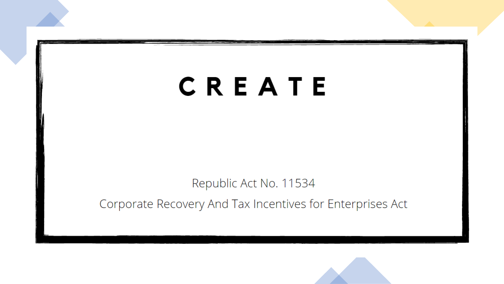## CREATE

Republic Act No. 11534

Corporate Recovery And Tax Incentives for Enterprises Act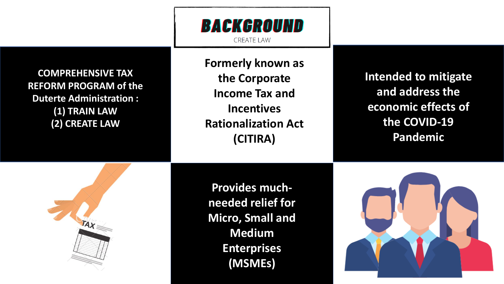## BACKGROUND

**CREATE LAW** 

**COMPREHENSIVE TAX REFORM PROGRAM of the Duterte Administration : (1) TRAIN LAW (2) CREATE LAW**

**Formerly known as the Corporate Income Tax and Incentives Rationalization Act (CITIRA)**

**Provides muchneeded relief for Micro, Small and Medium Enterprises (MSMEs)**

**Intended to mitigate and address the economic effects of the COVID-19 Pandemic**



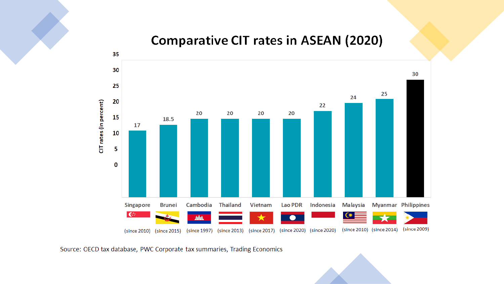## **Comparative CIT rates in ASEAN (2020)**



Source: OECD tax database, PWC Corporate tax summaries, Trading Economics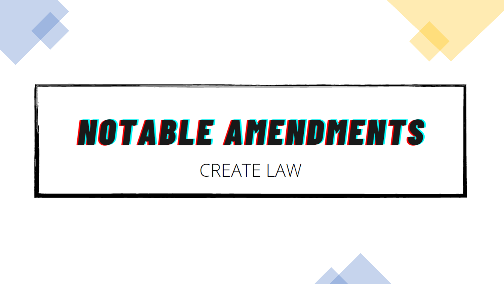

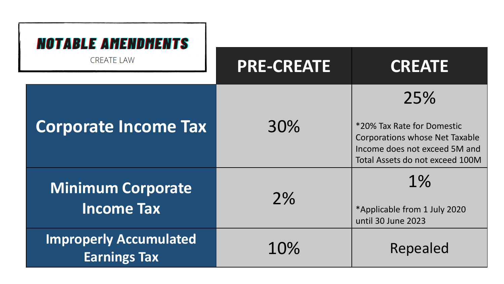| <b>NOTABLE AMENDMENTS</b>                            |                   |                                                                                                                                                |  |
|------------------------------------------------------|-------------------|------------------------------------------------------------------------------------------------------------------------------------------------|--|
| <b>CREATE LAW</b>                                    | <b>PRE-CREATE</b> | <b>CREATE</b>                                                                                                                                  |  |
| <b>Corporate Income Tax</b>                          | 30%               | 25%<br>*20% Tax Rate for Domestic<br><b>Corporations whose Net Taxable</b><br>Income does not exceed 5M and<br>Total Assets do not exceed 100M |  |
| <b>Minimum Corporate</b><br><b>Income Tax</b>        | 2%                | $1\%$<br>*Applicable from 1 July 2020<br>until 30 June 2023                                                                                    |  |
| <b>Improperly Accumulated</b><br><b>Earnings Tax</b> | 10%               | Repealed                                                                                                                                       |  |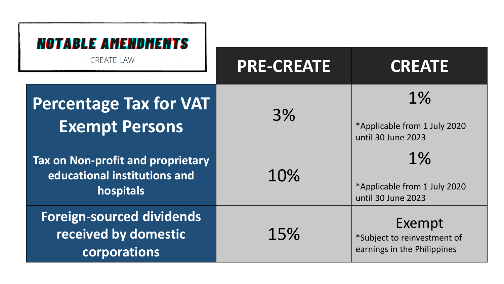| <b>NOTABLE AMENDMENTS</b>                                                             |                   |                                                                      |
|---------------------------------------------------------------------------------------|-------------------|----------------------------------------------------------------------|
| <b>CREATE LAW</b>                                                                     | <b>PRE-CREATE</b> | <b>CREATE</b>                                                        |
| <b>Percentage Tax for VAT</b><br><b>Exempt Persons</b>                                | 3%                | $1\%$<br>*Applicable from 1 July 2020<br>until 30 June 2023          |
| <b>Tax on Non-profit and proprietary</b><br>educational institutions and<br>hospitals | 10%               | 1%<br>*Applicable from 1 July 2020<br>until 30 June 2023             |
| <b>Foreign-sourced dividends</b><br>received by domestic<br>corporations              | 15%               | Exempt<br>*Subject to reinvestment of<br>earnings in the Philippines |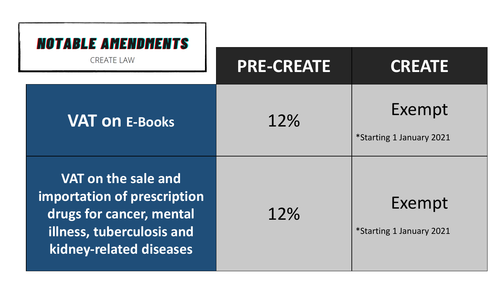| <b>NOTABLE AMENDMENTS</b>                                                                                                              |                   |                                    |  |
|----------------------------------------------------------------------------------------------------------------------------------------|-------------------|------------------------------------|--|
| <b>CREATE LAW</b>                                                                                                                      | <b>PRE-CREATE</b> | <b>CREATE</b>                      |  |
| <b>VAT ON E-Books</b>                                                                                                                  | 12%               | Exempt<br>*Starting 1 January 2021 |  |
| VAT on the sale and<br>importation of prescription<br>drugs for cancer, mental<br>illness, tuberculosis and<br>kidney-related diseases | 12%               | Exempt<br>*Starting 1 January 2021 |  |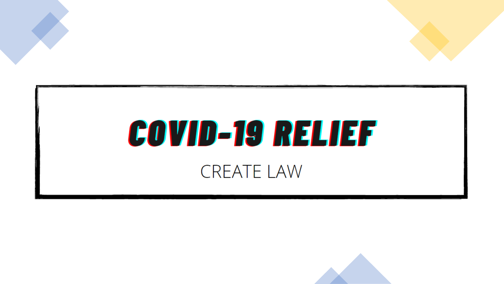

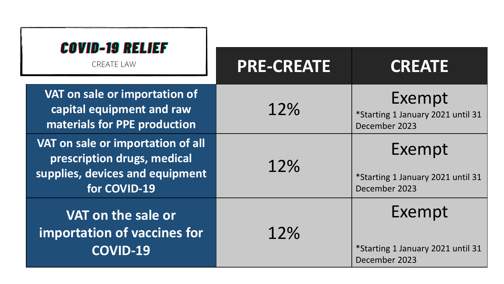| <b>COVID-19 RELIEF</b><br><b>CREATE LAW</b>                                                                         | <b>PRE-CREATE</b> | <b>CREATE</b>                                                |
|---------------------------------------------------------------------------------------------------------------------|-------------------|--------------------------------------------------------------|
| VAT on sale or importation of<br>capital equipment and raw<br>materials for PPE production                          | 12%               | Exempt<br>*Starting 1 January 2021 until 31<br>December 2023 |
| VAT on sale or importation of all<br>prescription drugs, medical<br>supplies, devices and equipment<br>for COVID-19 | 12%               | Exempt<br>*Starting 1 January 2021 until 31<br>December 2023 |
| VAT on the sale or<br>importation of vaccines for<br><b>COVID-19</b>                                                | 12%               | Exempt<br>*Starting 1 January 2021 until 31<br>December 2023 |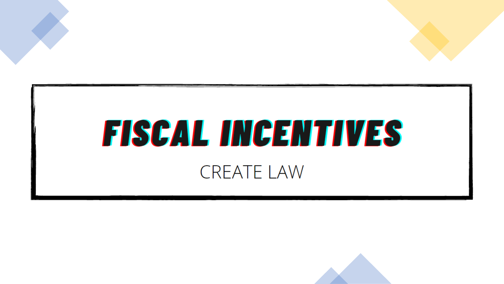

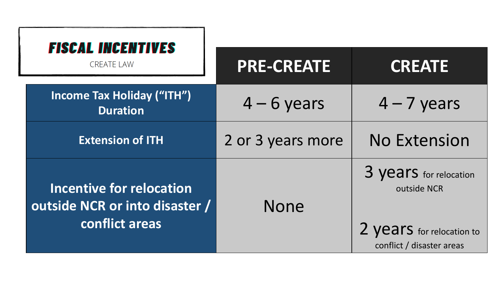|  | <b>FISCAL INCENTIVES</b><br><b>CREATE LAW</b>                                       | <b>PRE-CREATE</b> | <b>CREATE</b>                                                                                   |
|--|-------------------------------------------------------------------------------------|-------------------|-------------------------------------------------------------------------------------------------|
|  | <b>Income Tax Holiday ("ITH")</b><br><b>Duration</b>                                | $4 - 6$ years     | $4 - 7$ years                                                                                   |
|  | <b>Extension of ITH</b>                                                             | 2 or 3 years more | <b>No Extension</b>                                                                             |
|  | <b>Incentive for relocation</b><br>outside NCR or into disaster /<br>conflict areas | <b>None</b>       | 3 years for relocation<br>outside NCR<br>2 years for relocation to<br>conflict / disaster areas |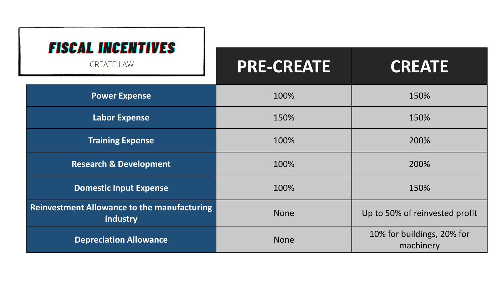| <b>FISCAL INCENTIVES</b>                                       |                   |                                         |  |
|----------------------------------------------------------------|-------------------|-----------------------------------------|--|
| <b>CREATE LAW</b>                                              | <b>PRE-CREATE</b> | <b>CREATE</b>                           |  |
| <b>Power Expense</b>                                           | 100%              | 150%                                    |  |
| <b>Labor Expense</b>                                           | 150%              | 150%                                    |  |
| <b>Training Expense</b>                                        | 100%              | 200%                                    |  |
| <b>Research &amp; Development</b>                              | 100%              | 200%                                    |  |
| <b>Domestic Input Expense</b>                                  | 100%              | 150%                                    |  |
| <b>Reinvestment Allowance to the manufacturing</b><br>industry | <b>None</b>       | Up to 50% of reinvested profit          |  |
| <b>Depreciation Allowance</b>                                  | <b>None</b>       | 10% for buildings, 20% for<br>machinery |  |